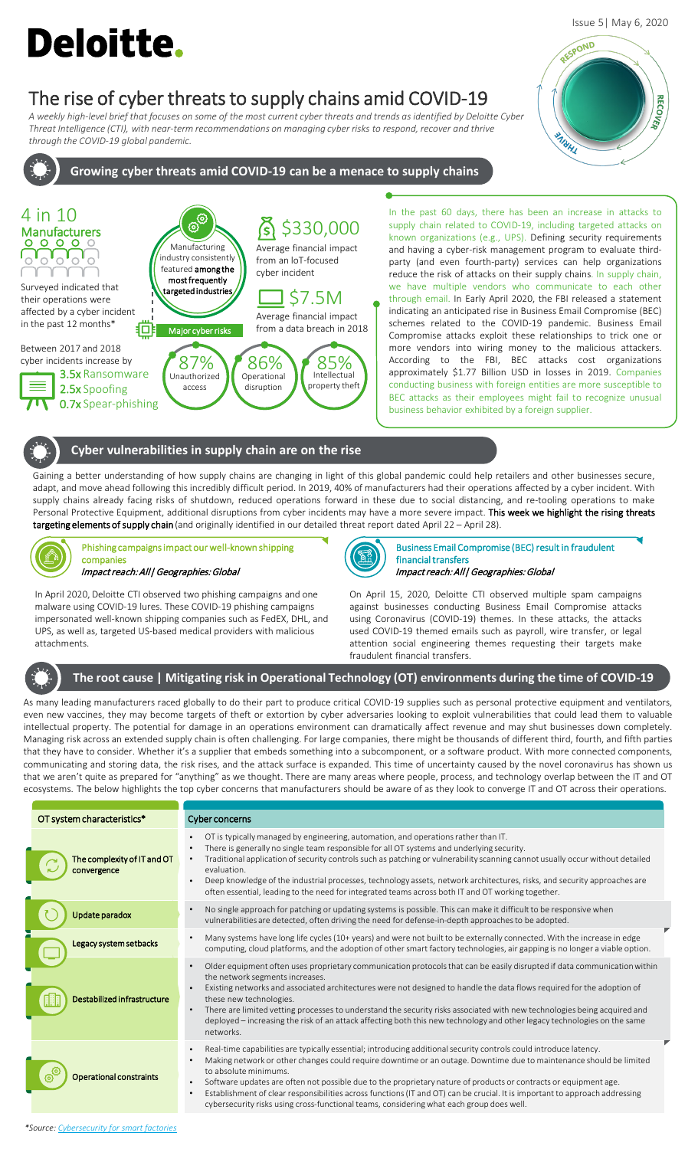# **Deloitte.**

# The rise of cyber threats to supply chains amid COVID-19

*A weekly high-level brief that focuses on some of the most current cyber threats and trends as identified by Deloitte Cyber Threat Intelligence (CTI), with near-term recommendations on managing cyber risks to respond, recover and thrive through the COVID-19 global pandemic.* 

# **Growing cyber threats amid COVID-19 can be a menace to supply chains**



In the past 60 days, there has been an increase in attacks to supply chain related to COVID-19, including targeted attacks on known organizations (e.g., UPS). Defining security requirements and having a cyber-risk management program to evaluate thirdparty (and even fourth-party) services can help organizations reduce the risk of attacks on their supply chains. In supply chain, we have multiple vendors who communicate to each other through email. In Early April 2020, the FBI released a statement indicating an anticipated rise in Business Email Compromise (BEC) schemes related to the COVID-19 pandemic. Business Email Compromise attacks exploit these relationships to trick one or more vendors into wiring money to the malicious attackers. According to the FBI, BEC attacks cost organizations approximately \$1.77 Billion USD in losses in 2019. Companies conducting business with foreign entities are more susceptible to BEC attacks as their employees might fail to recognize unusual business behavior exhibited by a foreign supplier.

#### **Cyber vulnerabilities in supply chain are on the rise**

Gaining a better understanding of how supply chains are changing in light of this global pandemic could help retailers and other businesses secure, adapt, and move ahead following this incredibly difficult period. In 2019, 40% of manufacturers had their operations affected by a cyber incident. With supply chains already facing risks of shutdown, reduced operations forward in these due to social distancing, and re-tooling operations to make Personal Protective Equipment, additional disruptions from cyber incidents may have a more severe impact. This week we highlight the rising threats targeting elements of supply chain (and originally identified in our detailed threat report dated April 22 - April 28).



Phishing campaigns impact our well-known shipping companies Impact reach: All| Geographies: Global

In April 2020, Deloitte CTI observed two phishing campaigns and one malware using COVID-19 lures. These COVID-19 phishing campaigns impersonated well-known shipping companies such as FedEX, DHL, and UPS, as well as, targeted US-based medical providers with malicious attachments.



Business Email Compromise (BEC) result in fraudulent financial transfers Impact reach: All| Geographies: Global

On April 15, 2020, Deloitte CTI observed multiple spam campaigns against businesses conducting Business Email Compromise attacks using Coronavirus (COVID-19) themes. In these attacks, the attacks used COVID-19 themed emails such as payroll, wire transfer, or legal attention social engineering themes requesting their targets make fraudulent financial transfers.

## **The root cause | Mitigating risk in Operational Technology (OT) environments during the time of COVID-19**

As many leading manufacturers raced globally to do their part to produce critical COVID-19 supplies such as personal protective equipment and ventilators, even new vaccines, they may become targets of theft or extortion by cyber adversaries looking to exploit vulnerabilities that could lead them to valuable intellectual property. The potential for damage in an operations environment can dramatically affect revenue and may shut businesses down completely. Managing risk across an extended supply chain is often challenging. For large companies, there might be thousands of different third, fourth, and fifth parties that they have to consider. Whether it's a supplier that embeds something into a subcomponent, or a software product. With more connected components, communicating and storing data, the risk rises, and the attack surface is expanded. This time of uncertainty caused by the novel coronavirus has shown us that we aren't quite as prepared for "anything" as we thought. There are many areas where people, process, and technology overlap between the IT and OT ecosystems. The below highlights the top cyber concerns that manufacturers should be aware of as they look to converge IT and OT across their operations.

|  | OT system characteristics*     | Cyber concerns                                                                                                                                                                                                                                                                                                                                                                                                                                                                                                                                                                                                  |
|--|--------------------------------|-----------------------------------------------------------------------------------------------------------------------------------------------------------------------------------------------------------------------------------------------------------------------------------------------------------------------------------------------------------------------------------------------------------------------------------------------------------------------------------------------------------------------------------------------------------------------------------------------------------------|
|  | The complexity of IT and OT    | OT is typically managed by engineering, automation, and operations rather than IT.<br>There is generally no single team responsible for all OT systems and underlying security.<br>Traditional application of security controls such as patching or vulnerability scanning cannot usually occur without detailed<br>evaluation.<br>Deep knowledge of the industrial processes, technology assets, network architectures, risks, and security approaches are<br>often essential, leading to the need for integrated teams across both IT and OT working together.                                                |
|  | Update paradox                 | No single approach for patching or updating systems is possible. This can make it difficult to be responsive when<br>vulnerabilities are detected, often driving the need for defense-in-depth approaches to be adopted.                                                                                                                                                                                                                                                                                                                                                                                        |
|  | Legacy system setbacks         | Many systems have long life cycles (10+ years) and were not built to be externally connected. With the increase in edge<br>computing, cloud platforms, and the adoption of other smart factory technologies, air gapping is no longer a viable option.                                                                                                                                                                                                                                                                                                                                                          |
|  | Destabilized infrastructure    | Older equipment often uses proprietary communication protocols that can be easily disrupted if data communication within<br>the network segments increases.<br>Existing networks and associated architectures were not designed to handle the data flows required for the adoption of<br>these new technologies.<br>There are limited vetting processes to understand the security risks associated with new technologies being acquired and<br>$\bullet$<br>deployed – increasing the risk of an attack affecting both this new technology and other legacy technologies on the same<br>networks.              |
|  | <b>Operational constraints</b> | Real-time capabilities are typically essential; introducing additional security controls could introduce latency.<br>Making network or other changes could require downtime or an outage. Downtime due to maintenance should be limited<br>to absolute minimums.<br>Software updates are often not possible due to the proprietary nature of products or contracts or equipment age.<br>Establishment of clear responsibilities across functions (IT and OT) can be crucial. It is important to approach addressing<br>cybersecurity risks using cross-functional teams, considering what each group does well. |

#### Issue 5| May 6, 2020

**RECOVER** 

RESPOND

**PARKALL**